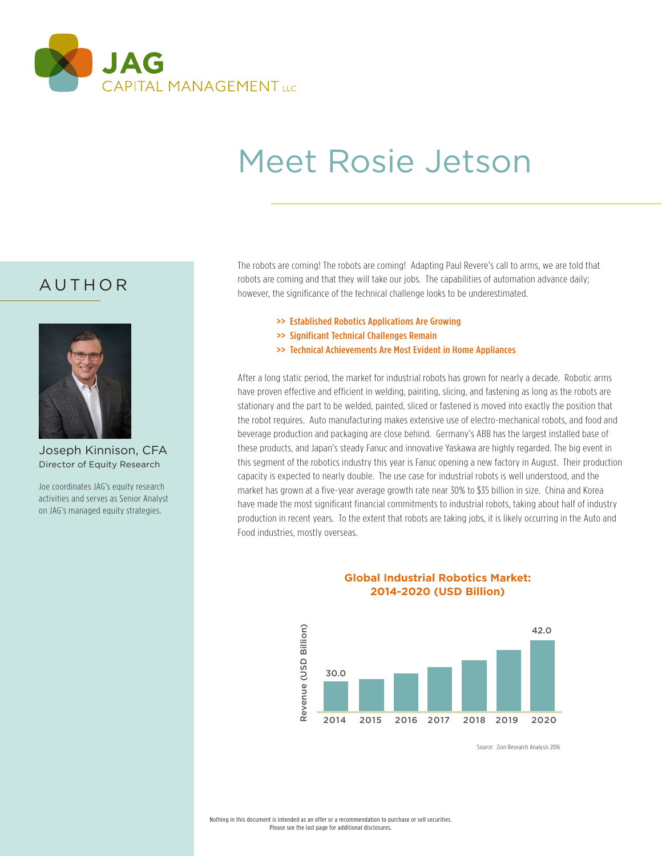

# Meet Rosie Jetson

#### AUTHOR



Joseph Kinnison, CFA Director of Equity Research

Joe coordinates JAG's equity research activities and serves as Senior Analyst on JAG's managed equity strategies.

The robots are coming! The robots are coming! Adapting Paul Revere's call to arms, we are told that robots are coming and that they will take our jobs. The capabilities of automation advance daily; however, the significance of the technical challenge looks to be underestimated.

- >> Established Robotics Applications Are Growing
- >> Significant Technical Challenges Remain
- >> Technical Achievements Are Most Evident in Home Appliances

After a long static period, the market for industrial robots has grown for nearly a decade. Robotic arms have proven effective and efficient in welding, painting, slicing, and fastening as long as the robots are stationary and the part to be welded, painted, sliced or fastened is moved into exactly the position that the robot requires. Auto manufacturing makes extensive use of electro-mechanical robots, and food and beverage production and packaging are close behind. Germany's ABB has the largest installed base of these products, and Japan's steady Fanuc and innovative Yaskawa are highly regarded. The big event in this segment of the robotics industry this year is Fanuc opening a new factory in August. Their production capacity is expected to nearly double. The use case for industrial robots is well understood, and the market has grown at a five-year average growth rate near 30% to \$35 billion in size. China and Korea have made the most significant financial commitments to industrial robots, taking about half of industry production in recent years. To the extent that robots are taking jobs, it is likely occurring in the Auto and Food industries, mostly overseas.



#### **Global Industrial Robotics Market: 2014-2020 (USD Billion)**

Source: Zion Research Analysis 2016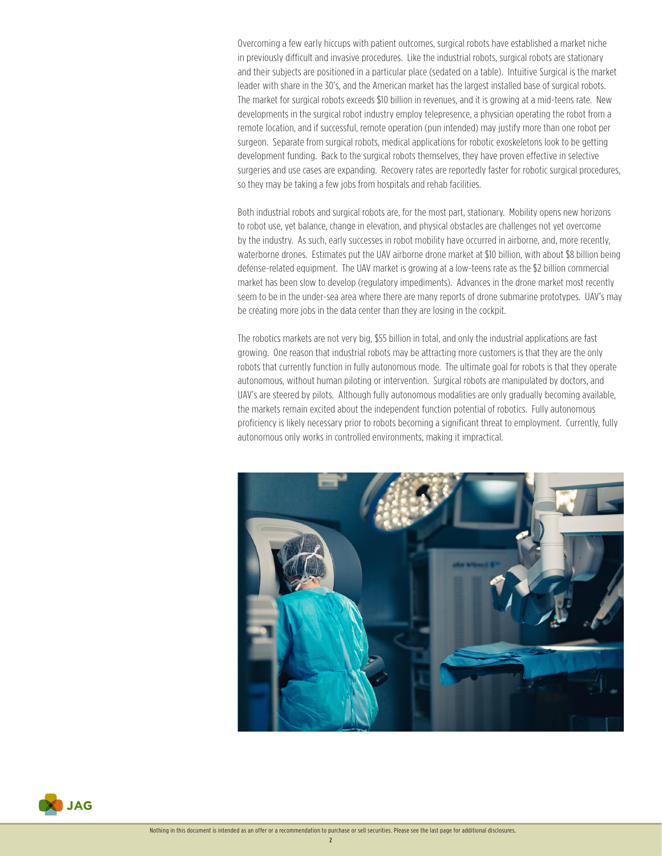Overcoming a few early hiccups with patient outcomes, surgical robots have established a market niche in previously difficult and invasive procedures. Like the industrial robots, surgical robots are stationary and their subjects are positioned in a particular place (sedated on a table). Intuitive Surgical is the market leader with share in the 30's, and the American market has the largest installed base of surgical robots. The market for surgical robots exceeds \$10 billion in revenues, and it is growing at a mid-teens rate. New developments in the surgical robot industry employ telepresence, a physician operating the robot from a remote location, and if successful, remote operation (pun intended) may justify more than one robot per surgeon. Separate from surgical robots, medical applications for robotic exoskeletons look to be getting development funding. Back to the surgical robots themselves, they have proven effective in selective surgeries and use cases are expanding. Recovery rates are reportedly faster for robotic surgical procedures, so they may be taking a few jobs from hospitals and rehab facilities.

Both industrial robots and surgical robots are, for the most part, stationary. Mobility opens new horizons to robot use, yet balance, change in elevation, and physical obstacles are challenges not yet overcome by the industry. As such, early successes in robot mobility have occurred in airborne, and, more recently, waterborne drones. Estimates put the UAV airborne drone market at \$10 billion, with about \$8 billion being defense-related equipment. The UAV market is growing at a low-teens rate as the \$2 billion commercial market has been slow to develop (regulatory impediments). Advances in the drone market most recently seem to be in the under-sea area where there are many reports of drone submarine prototypes. UAV's may be creating more jobs in the data center than they are losing in the cockpit.

The robotics markets are not very big, \$55 billion in total, and only the industrial applications are fast growing. One reason that industrial robots may be attracting more customers is that they are the only robots that currently function in fully autonomous mode. The ultimate goal for robots is that they operate autonomous, without human piloting or intervention. Surgical robots are manipulated by doctors, and UAV's are steered by pilots. Although fully autonomous modalities are only gradually becoming available, the markets remain excited about the independent function potential of robotics. Fully autonomous proficiency is likely necessary prior to robots becoming a significant threat to employment. Currently, fully autonomous only works in controlled environments, making it impractical.





2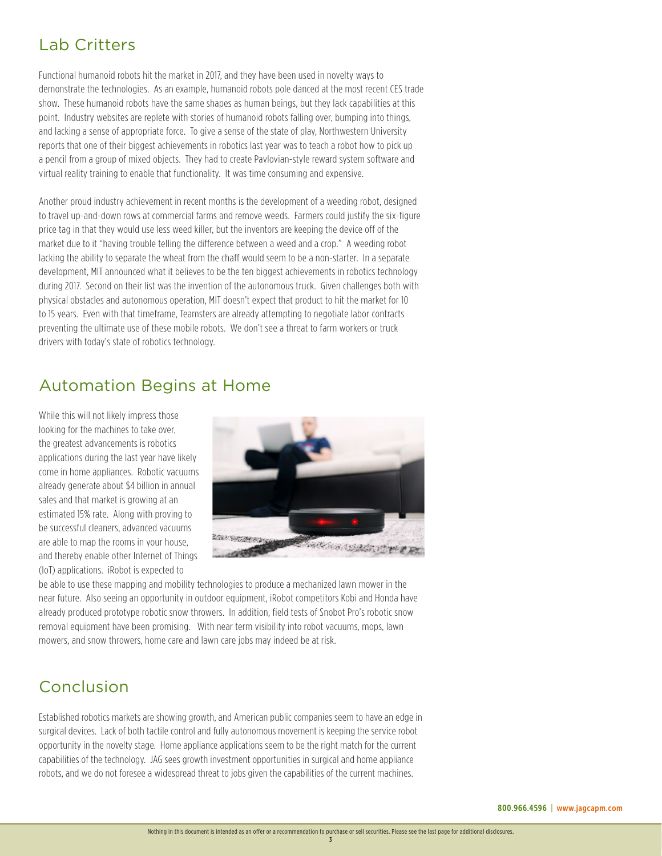# Lab Critters

Functional humanoid robots hit the market in 2017, and they have been used in novelty ways to demonstrate the technologies. As an example, humanoid robots pole danced at the most recent CES trade show. These humanoid robots have the same shapes as human beings, but they lack capabilities at this point. Industry websites are replete with stories of humanoid robots falling over, bumping into things, and lacking a sense of appropriate force. To give a sense of the state of play, Northwestern University reports that one of their biggest achievements in robotics last year was to teach a robot how to pick up a pencil from a group of mixed objects. They had to create Pavlovian-style reward system software and virtual reality training to enable that functionality. It was time consuming and expensive.

Another proud industry achievement in recent months is the development of a weeding robot, designed to travel up-and-down rows at commercial farms and remove weeds. Farmers could justify the six-figure price tag in that they would use less weed killer, but the inventors are keeping the device off of the market due to it "having trouble telling the difference between a weed and a crop." A weeding robot lacking the ability to separate the wheat from the chaff would seem to be a non-starter. In a separate development, MIT announced what it believes to be the ten biggest achievements in robotics technology during 2017. Second on their list was the invention of the autonomous truck. Given challenges both with physical obstacles and autonomous operation, MIT doesn't expect that product to hit the market for 10 to 15 years. Even with that timeframe, Teamsters are already attempting to negotiate labor contracts preventing the ultimate use of these mobile robots. We don't see a threat to farm workers or truck drivers with today's state of robotics technology.

### Automation Begins at Home

While this will not likely impress those looking for the machines to take over, the greatest advancements is robotics applications during the last year have likely come in home appliances. Robotic vacuums already generate about \$4 billion in annual sales and that market is growing at an estimated 15% rate. Along with proving to be successful cleaners, advanced vacuums are able to map the rooms in your house, and thereby enable other Internet of Things (IoT) applications. iRobot is expected to



be able to use these mapping and mobility technologies to produce a mechanized lawn mower in the near future. Also seeing an opportunity in outdoor equipment, iRobot competitors Kobi and Honda have already produced prototype robotic snow throwers. In addition, field tests of Snobot Pro's robotic snow removal equipment have been promising. With near term visibility into robot vacuums, mops, lawn mowers, and snow throwers, home care and lawn care jobs may indeed be at risk.

## Conclusion

Established robotics markets are showing growth, and American public companies seem to have an edge in surgical devices. Lack of both tactile control and fully autonomous movement is keeping the service robot opportunity in the novelty stage. Home appliance applications seem to be the right match for the current capabilities of the technology. JAG sees growth investment opportunities in surgical and home appliance robots, and we do not foresee a widespread threat to jobs given the capabilities of the current machines.